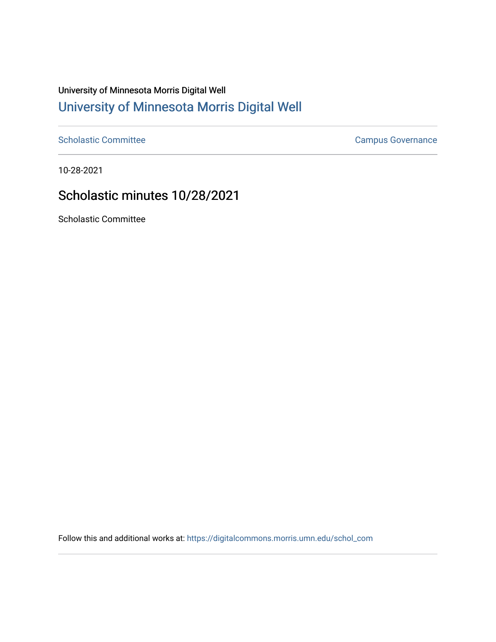## University of Minnesota Morris Digital Well [University of Minnesota Morris Digital Well](https://digitalcommons.morris.umn.edu/)

[Scholastic Committee](https://digitalcommons.morris.umn.edu/schol_com) [Campus Governance](https://digitalcommons.morris.umn.edu/campgov) Campus Governance

10-28-2021

## Scholastic minutes 10/28/2021

Scholastic Committee

Follow this and additional works at: [https://digitalcommons.morris.umn.edu/schol\\_com](https://digitalcommons.morris.umn.edu/schol_com?utm_source=digitalcommons.morris.umn.edu%2Fschol_com%2F357&utm_medium=PDF&utm_campaign=PDFCoverPages)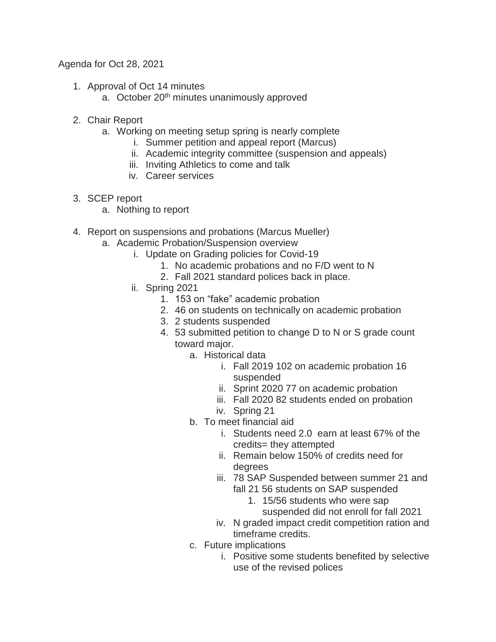## Agenda for Oct 28, 2021

- 1. Approval of Oct 14 minutes
	- a. October 20<sup>th</sup> minutes unanimously approved
- 2. Chair Report
	- a. Working on meeting setup spring is nearly complete
		- i. Summer petition and appeal report (Marcus)
		- ii. Academic integrity committee (suspension and appeals)
		- iii. Inviting Athletics to come and talk
		- iv. Career services
- 3. SCEP report
	- a. Nothing to report
- 4. Report on suspensions and probations (Marcus Mueller)
	- a. Academic Probation/Suspension overview
		- i. Update on Grading policies for Covid-19
			- 1. No academic probations and no F/D went to N
			- 2. Fall 2021 standard polices back in place.
		- ii. Spring 2021
			- 1. 153 on "fake" academic probation
			- 2. 46 on students on technically on academic probation
			- 3. 2 students suspended
			- 4. 53 submitted petition to change D to N or S grade count toward major.
				- a. Historical data
					- i. Fall 2019 102 on academic probation 16 suspended
					- ii. Sprint 2020 77 on academic probation
					- iii. Fall 2020 82 students ended on probation
					- iv. Spring 21
				- b. To meet financial aid
					- i. Students need 2.0 earn at least 67% of the credits= they attempted
					- ii. Remain below 150% of credits need for degrees
					- iii. 78 SAP Suspended between summer 21 and fall 21 56 students on SAP suspended
						- 1. 15/56 students who were sap suspended did not enroll for fall 2021
					- iv. N graded impact credit competition ration and timeframe credits.
				- c. Future implications
					- i. Positive some students benefited by selective use of the revised polices